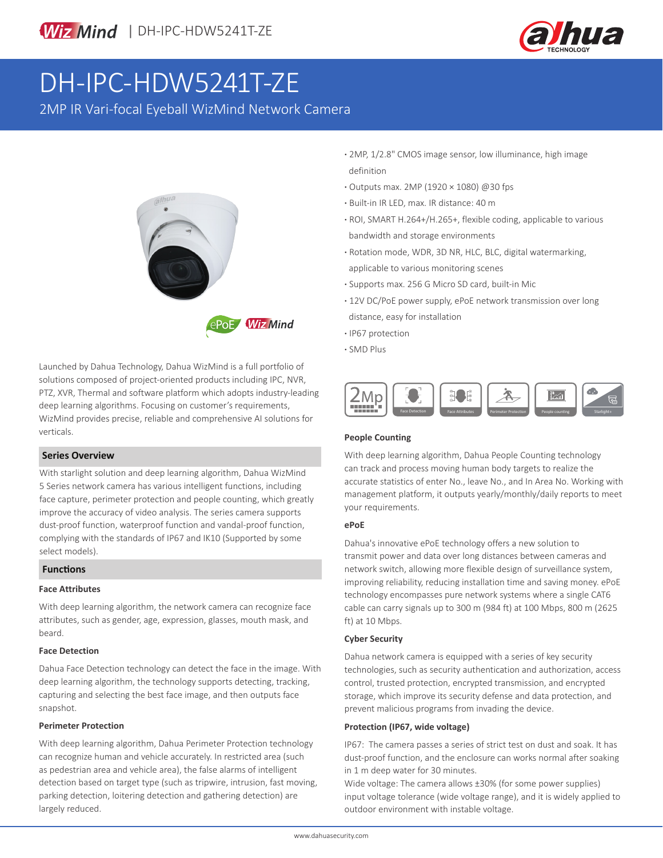



# DH-IPC-HDW5241T-ZE

2MP IR Vari-focal Eyeball WizMind Network Camera



Launched by Dahua Technology, Dahua WizMind is a full portfolio of solutions composed of project-oriented products including IPC, NVR, PTZ, XVR, Thermal and software platform which adopts industry-leading deep learning algorithms. Focusing on customer's requirements, WizMind provides precise, reliable and comprehensive AI solutions for verticals.

### **Series Overview**

With starlight solution and deep learning algorithm, Dahua WizMind 5 Series network camera has various intelligent functions, including face capture, perimeter protection and people counting, which greatly improve the accuracy of video analysis. The series camera supports dust-proof function, waterproof function and vandal-proof function, complying with the standards of IP67 and IK10 (Supported by some select models).

#### **Functions**

#### **Face Attributes**

With deep learning algorithm, the network camera can recognize face attributes, such as gender, age, expression, glasses, mouth mask, and beard.

## **Face Detection**

Dahua Face Detection technology can detect the face in the image. With deep learning algorithm, the technology supports detecting, tracking, capturing and selecting the best face image, and then outputs face snapshot.

#### **Perimeter Protection**

With deep learning algorithm, Dahua Perimeter Protection technology can recognize human and vehicle accurately. In restricted area (such as pedestrian area and vehicle area), the false alarms of intelligent detection based on target type (such as tripwire, intrusion, fast moving, parking detection, loitering detection and gathering detection) are largely reduced.

- **·** 2MP, 1/2.8" CMOS image sensor, low illuminance, high image definition
- **·** Outputs max. 2MP (1920 × 1080) @30 fps
- **·** Built-in IR LED, max. IR distance: 40 m
- **·** ROI, SMART H.264+/H.265+, flexible coding, applicable to various bandwidth and storage environments
- **·** Rotation mode, WDR, 3D NR, HLC, BLC, digital watermarking, applicable to various monitoring scenes
- **·** Supports max. 256 G Micro SD card, built-in Mic
- **·** 12V DC/PoE power supply, ePoE network transmission over long distance, easy for installation
- **·** IP67 protection
- **·** SMD Plus



### **People Counting**

With deep learning algorithm, Dahua People Counting technology can track and process moving human body targets to realize the accurate statistics of enter No., leave No., and In Area No. Working with management platform, it outputs yearly/monthly/daily reports to meet your requirements.

#### **ePoE**

Dahua's innovative ePoE technology offers a new solution to transmit power and data over long distances between cameras and network switch, allowing more flexible design of surveillance system, improving reliability, reducing installation time and saving money. ePoE technology encompasses pure network systems where a single CAT6 cable can carry signals up to 300 m (984 ft) at 100 Mbps, 800 m (2625 ft) at 10 Mbps.

### **Cyber Security**

Dahua network camera is equipped with a series of key security technologies, such as security authentication and authorization, access control, trusted protection, encrypted transmission, and encrypted storage, which improve its security defense and data protection, and prevent malicious programs from invading the device.

### **Protection (IP67, wide voltage)**

IP67: The camera passes a series of strict test on dust and soak. It has dust-proof function, and the enclosure can works normal after soaking in 1 m deep water for 30 minutes.

Wide voltage: The camera allows ±30% (for some power supplies) input voltage tolerance (wide voltage range), and it is widely applied to outdoor environment with instable voltage.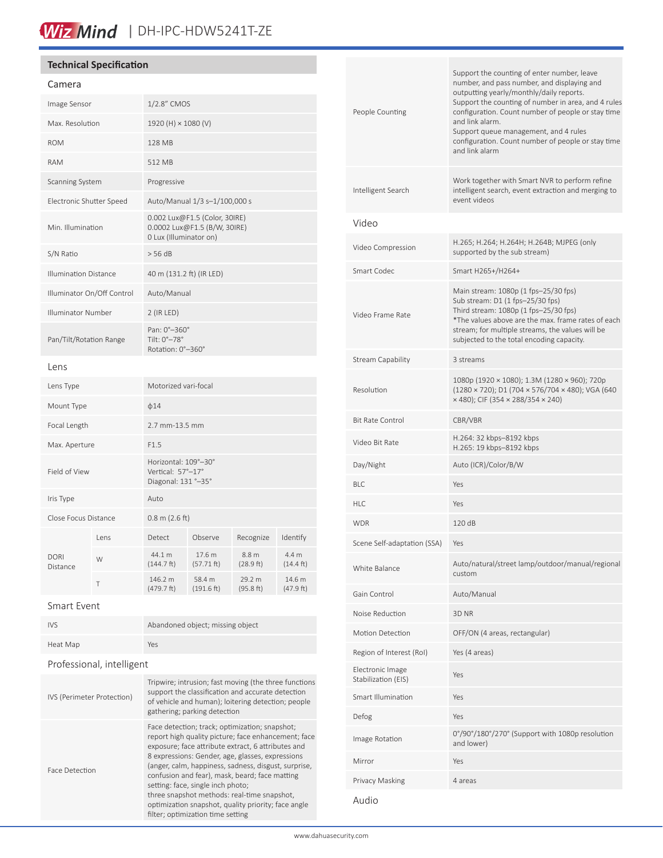## Wiz Mind | DH-IPC-HDW5241T-ZE

## **Technical Specification**

### Camera

| Image Sensor                 |      | 1/2.8" CMOS                                                                             |                      |                     |                              |
|------------------------------|------|-----------------------------------------------------------------------------------------|----------------------|---------------------|------------------------------|
| Max. Resolution              |      | 1920 (H) × 1080 (V)                                                                     |                      |                     |                              |
| <b>ROM</b>                   |      | 128 MB                                                                                  |                      |                     |                              |
| <b>RAM</b>                   |      | 512 MB                                                                                  |                      |                     |                              |
| Scanning System              |      | Progressive                                                                             |                      |                     |                              |
| Electronic Shutter Speed     |      | Auto/Manual 1/3 s-1/100,000 s                                                           |                      |                     |                              |
| Min. Illumination            |      | 0.002 Lux@F1.5 (Color, 30IRE)<br>0.0002 Lux@F1.5 (B/W, 30IRE)<br>0 Lux (Illuminator on) |                      |                     |                              |
| S/N Ratio                    |      | > 56 dB                                                                                 |                      |                     |                              |
| <b>Illumination Distance</b> |      | 40 m (131.2 ft) (IR LED)                                                                |                      |                     |                              |
| Illuminator On/Off Control   |      | Auto/Manual                                                                             |                      |                     |                              |
| Illuminator Number           |      | $2$ (IR LED)                                                                            |                      |                     |                              |
| Pan/Tilt/Rotation Range      |      | Pan: 0°-360°<br>Tilt: 0°-78°<br>Rotation: 0°-360°                                       |                      |                     |                              |
| Lens                         |      |                                                                                         |                      |                     |                              |
| Lens Type                    |      | Motorized vari-focal                                                                    |                      |                     |                              |
| Mount Type                   |      | $\phi$ 14                                                                               |                      |                     |                              |
| Focal Length                 |      | 2.7 mm-13.5 mm                                                                          |                      |                     |                              |
| Max. Aperture                |      | F1.5                                                                                    |                      |                     |                              |
| Field of View                |      | Horizontal: 109°-30°<br>Vertical: 57°-17°<br>Diagonal: 131 °-35°                        |                      |                     |                              |
| Iris Type                    |      | Auto                                                                                    |                      |                     |                              |
| Close Focus Distance         |      | $0.8$ m (2.6 ft)                                                                        |                      |                     |                              |
|                              | lens | Detect                                                                                  | Observe              | Recognize           | Identify                     |
| <b>DORI</b><br>Distance      | W    | 44.1 m<br>$(144.7 \text{ ft})$                                                          | 17.6 m<br>(57.71 ft) | 8.8 m<br>(28.9 ft)  | 4.4 m<br>$(14.4 \text{ ft})$ |
|                              | Τ    | 146.2 m<br>(479.7 ft)                                                                   | 58.4 m<br>(191.6 ft) | 29.2 m<br>(95.8 ft) | 14.6 m<br>(47.9 ft)          |
|                              |      |                                                                                         |                      |                     |                              |

Smart Event

| <b>IVS</b> | Abandoned object; missing object |
|------------|----------------------------------|
| Heat Map   | Yes                              |

## Professional, intelligent

| IVS (Perimeter Protection) | Tripwire; intrusion; fast moving (the three functions<br>support the classification and accurate detection<br>of vehicle and human); loitering detection; people<br>gathering; parking detection                                                                                                                                                                                                                                                                                                          |
|----------------------------|-----------------------------------------------------------------------------------------------------------------------------------------------------------------------------------------------------------------------------------------------------------------------------------------------------------------------------------------------------------------------------------------------------------------------------------------------------------------------------------------------------------|
| Face Detection             | Face detection; track; optimization; snapshot;<br>report high quality picture; face enhancement; face<br>exposure; face attribute extract, 6 attributes and<br>8 expressions: Gender, age, glasses, expressions<br>(anger, calm, happiness, sadness, disgust, surprise,<br>confusion and fear), mask, beard; face matting<br>setting: face, single inch photo;<br>three snapshot methods: real-time snapshot,<br>optimization snapshot, quality priority; face angle<br>filter; optimization time setting |

| People Counting                         | Support the counting of enter number, leave<br>number, and pass number, and displaying and<br>outputting yearly/monthly/daily reports.<br>Support the counting of number in area, and 4 rules<br>configuration. Count number of people or stay time<br>and link alarm.<br>Support queue management, and 4 rules<br>configuration. Count number of people or stay time<br>and link alarm |
|-----------------------------------------|-----------------------------------------------------------------------------------------------------------------------------------------------------------------------------------------------------------------------------------------------------------------------------------------------------------------------------------------------------------------------------------------|
| Intelligent Search                      | Work together with Smart NVR to perform refine<br>intelligent search, event extraction and merging to<br>event videos                                                                                                                                                                                                                                                                   |
| Video                                   |                                                                                                                                                                                                                                                                                                                                                                                         |
| Video Compression                       | H.265; H.264; H.264H; H.264B; MJPEG (only<br>supported by the sub stream)                                                                                                                                                                                                                                                                                                               |
| Smart Codec                             | Smart H265+/H264+                                                                                                                                                                                                                                                                                                                                                                       |
| Video Frame Rate                        | Main stream: 1080p (1 fps-25/30 fps)<br>Sub stream: D1 (1 fps-25/30 fps)<br>Third stream: 1080p (1 fps-25/30 fps)<br>*The values above are the max. frame rates of each<br>stream; for multiple streams, the values will be<br>subjected to the total encoding capacity.                                                                                                                |
| <b>Stream Capability</b>                | 3 streams                                                                                                                                                                                                                                                                                                                                                                               |
| Resolution                              | 1080p (1920 × 1080); 1.3M (1280 × 960); 720p<br>(1280 × 720); D1 (704 × 576/704 × 480); VGA (640<br>$\times$ 480); CIF (354 $\times$ 288/354 $\times$ 240)                                                                                                                                                                                                                              |
| <b>Bit Rate Control</b>                 | CBR/VBR                                                                                                                                                                                                                                                                                                                                                                                 |
| Video Bit Rate                          | H.264: 32 kbps-8192 kbps<br>H.265: 19 kbps-8192 kbps                                                                                                                                                                                                                                                                                                                                    |
| Day/Night                               | Auto (ICR)/Color/B/W                                                                                                                                                                                                                                                                                                                                                                    |
| <b>BLC</b>                              | Yes                                                                                                                                                                                                                                                                                                                                                                                     |
| HI C                                    | Yes                                                                                                                                                                                                                                                                                                                                                                                     |
| <b>WDR</b>                              | 120 dB                                                                                                                                                                                                                                                                                                                                                                                  |
| Scene Self-adaptation (SSA)             | Yes                                                                                                                                                                                                                                                                                                                                                                                     |
| White Balance                           | Auto/natural/street lamp/outdoor/manual/regional<br>custom                                                                                                                                                                                                                                                                                                                              |
| Gain Control                            | Auto/Manual                                                                                                                                                                                                                                                                                                                                                                             |
| Noise Reduction                         | 3D <sub>NR</sub>                                                                                                                                                                                                                                                                                                                                                                        |
| Motion Detection                        | OFF/ON (4 areas, rectangular)                                                                                                                                                                                                                                                                                                                                                           |
| Region of Interest (RoI)                | Yes (4 areas)                                                                                                                                                                                                                                                                                                                                                                           |
| Electronic Image<br>Stabilization (EIS) | Yes                                                                                                                                                                                                                                                                                                                                                                                     |
| Smart Illumination                      | Yes                                                                                                                                                                                                                                                                                                                                                                                     |
| Defog                                   | Yes                                                                                                                                                                                                                                                                                                                                                                                     |
| Image Rotation                          | 0°/90°/180°/270° (Support with 1080p resolution<br>and lower)                                                                                                                                                                                                                                                                                                                           |
| Mirror                                  | Yes                                                                                                                                                                                                                                                                                                                                                                                     |
| Privacy Masking                         | 4 areas                                                                                                                                                                                                                                                                                                                                                                                 |
| Audio                                   |                                                                                                                                                                                                                                                                                                                                                                                         |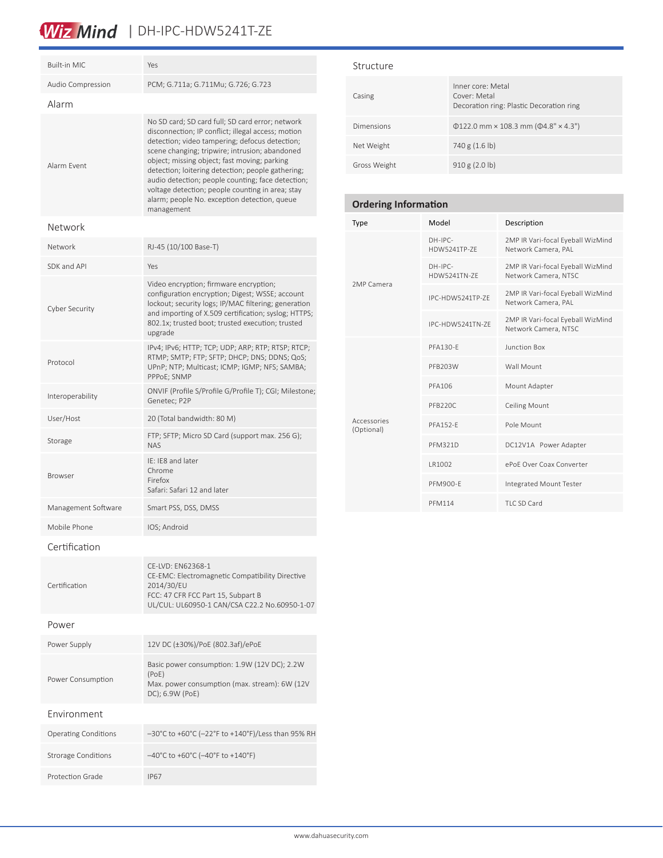## Wiz Mind | DH-IPC-HDW5241T-ZE

| Built-in MIC                | Yes                                                                                                                                                                                                                                                                                                                                                                                                                                                                                    |
|-----------------------------|----------------------------------------------------------------------------------------------------------------------------------------------------------------------------------------------------------------------------------------------------------------------------------------------------------------------------------------------------------------------------------------------------------------------------------------------------------------------------------------|
| Audio Compression           | PCM; G.711a; G.711Mu; G.726; G.723                                                                                                                                                                                                                                                                                                                                                                                                                                                     |
| Alarm                       |                                                                                                                                                                                                                                                                                                                                                                                                                                                                                        |
| Alarm Fvent                 | No SD card; SD card full; SD card error; network<br>disconnection; IP conflict; illegal access; motion<br>detection; video tampering; defocus detection;<br>scene changing; tripwire; intrusion; abandoned<br>object; missing object; fast moving; parking<br>detection; loitering detection; people gathering;<br>audio detection; people counting; face detection;<br>voltage detection; people counting in area; stay<br>alarm; people No. exception detection, queue<br>management |
| Network                     |                                                                                                                                                                                                                                                                                                                                                                                                                                                                                        |
| Network                     | RJ-45 (10/100 Base-T)                                                                                                                                                                                                                                                                                                                                                                                                                                                                  |
| SDK and API                 | Yes                                                                                                                                                                                                                                                                                                                                                                                                                                                                                    |
| Cyber Security              | Video encryption; firmware encryption;<br>configuration encryption; Digest; WSSE; account<br>lockout; security logs; IP/MAC filtering; generation<br>and importing of X.509 certification; syslog; HTTPS;<br>802.1x; trusted boot; trusted execution; trusted<br>upgrade                                                                                                                                                                                                               |
| Protocol                    | IPv4; IPv6; HTTP; TCP; UDP; ARP; RTP; RTSP; RTCP;<br>RTMP; SMTP; FTP; SFTP; DHCP; DNS; DDNS; QoS;<br>UPnP; NTP; Multicast; ICMP; IGMP; NFS; SAMBA;<br>PPPoE; SNMP                                                                                                                                                                                                                                                                                                                      |
| Interoperability            | ONVIF (Profile S/Profile G/Profile T); CGI; Milestone;<br>Genetec; P2P                                                                                                                                                                                                                                                                                                                                                                                                                 |
| User/Host                   | 20 (Total bandwidth: 80 M)                                                                                                                                                                                                                                                                                                                                                                                                                                                             |
| Storage                     | FTP; SFTP; Micro SD Card (support max. 256 G);<br><b>NAS</b>                                                                                                                                                                                                                                                                                                                                                                                                                           |
| <b>Browser</b>              | IE: IE8 and later<br>Chrome<br>Firefox<br>Safari: Safari 12 and later                                                                                                                                                                                                                                                                                                                                                                                                                  |
| Management Software         | Smart PSS, DSS, DMSS                                                                                                                                                                                                                                                                                                                                                                                                                                                                   |
| Mobile Phone                | IOS; Android                                                                                                                                                                                                                                                                                                                                                                                                                                                                           |
| Certification               |                                                                                                                                                                                                                                                                                                                                                                                                                                                                                        |
| Certification               | CE-LVD: EN62368-1<br>CE-EMC: Electromagnetic Compatibility Directive<br>2014/30/EU<br>FCC: 47 CFR FCC Part 15, Subpart B<br>UL/CUL: UL60950-1 CAN/CSA C22.2 No.60950-1-07                                                                                                                                                                                                                                                                                                              |
| Power                       |                                                                                                                                                                                                                                                                                                                                                                                                                                                                                        |
| Power Supply                | 12V DC (±30%)/PoE (802.3af)/ePoE                                                                                                                                                                                                                                                                                                                                                                                                                                                       |
| Power Consumption           | Basic power consumption: 1.9W (12V DC); 2.2W<br>(PoE)<br>Max. power consumption (max. stream): 6W (12V<br>DC); 6.9W (PoE)                                                                                                                                                                                                                                                                                                                                                              |
| Environment                 |                                                                                                                                                                                                                                                                                                                                                                                                                                                                                        |
| <b>Operating Conditions</b> | -30°C to +60°C (-22°F to +140°F)/Less than 95% RH                                                                                                                                                                                                                                                                                                                                                                                                                                      |
| <b>Strorage Conditions</b>  | $-40^{\circ}$ C to +60°C (-40°F to +140°F)                                                                                                                                                                                                                                                                                                                                                                                                                                             |
| Protection Grade            | <b>IP67</b>                                                                                                                                                                                                                                                                                                                                                                                                                                                                            |

## Structure

| Casing       | Inner core: Metal<br>Cover: Metal<br>Decoration ring: Plastic Decoration ring |
|--------------|-------------------------------------------------------------------------------|
| Dimensions   | $\Phi$ 122.0 mm × 108.3 mm ( $\Phi$ 4.8" × 4.3")                              |
| Net Weight   | 740 g (1.6 lb)                                                                |
| Gross Weight | 910 g (2.0 b)                                                                 |

## **Ordering Information**

| Type                      | Model                     | Description                                               |
|---------------------------|---------------------------|-----------------------------------------------------------|
| 2MP Camera                | $DH-IPC-$<br>HDW5241TP-7F | 2MP IR Vari-focal Eyeball WizMind<br>Network Camera, PAL  |
|                           | $DH-IPC-$<br>HDW5241TN-7F | 2MP IR Vari-focal Eyeball WizMind<br>Network Camera, NTSC |
|                           | IPC-HDW5241TP-ZF          | 2MP IR Vari-focal Eyeball WizMind<br>Network Camera, PAL  |
|                           | IPC-HDW5241TN-ZF          | 2MP IR Vari-focal Eyeball WizMind<br>Network Camera, NTSC |
|                           | <b>PFA130-F</b>           | Junction Box                                              |
|                           | PFB203W                   | Wall Mount                                                |
|                           | PFA106                    | Mount Adapter                                             |
|                           | PFB220C                   | <b>Ceiling Mount</b>                                      |
| Accessories<br>(Optional) | <b>PFA152-F</b>           | Pole Mount                                                |
|                           | <b>PFM321D</b>            | DC12V1A Power Adapter                                     |
|                           | IR1002                    | ePoF Over Coax Converter                                  |
|                           | PFM900-F                  | Integrated Mount Tester                                   |
|                           | <b>PFM114</b>             | TLC SD Card                                               |